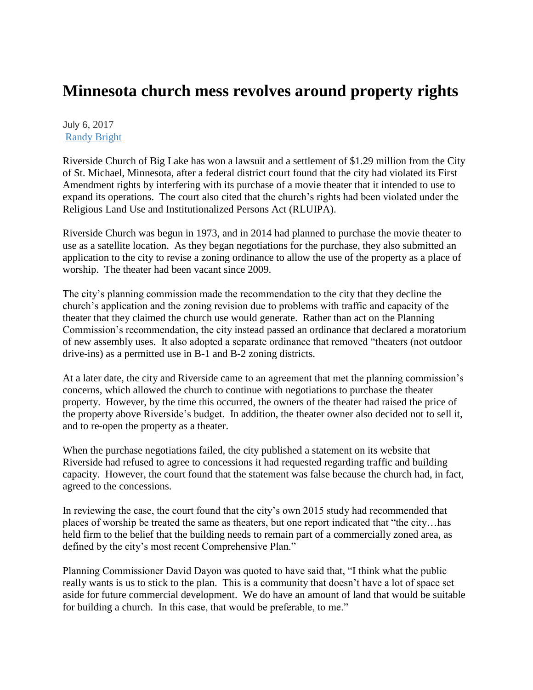## **Minnesota church mess revolves around property rights**

July 6, 2017 [Randy Bright](http://tulsabeacon.com/author/randy-bright/)

Riverside Church of Big Lake has won a lawsuit and a settlement of \$1.29 million from the City of St. Michael, Minnesota, after a federal district court found that the city had violated its First Amendment rights by interfering with its purchase of a movie theater that it intended to use to expand its operations. The court also cited that the church's rights had been violated under the Religious Land Use and Institutionalized Persons Act (RLUIPA).

Riverside Church was begun in 1973, and in 2014 had planned to purchase the movie theater to use as a satellite location. As they began negotiations for the purchase, they also submitted an application to the city to revise a zoning ordinance to allow the use of the property as a place of worship. The theater had been vacant since 2009.

The city's planning commission made the recommendation to the city that they decline the church's application and the zoning revision due to problems with traffic and capacity of the theater that they claimed the church use would generate. Rather than act on the Planning Commission's recommendation, the city instead passed an ordinance that declared a moratorium of new assembly uses. It also adopted a separate ordinance that removed "theaters (not outdoor drive-ins) as a permitted use in B-1 and B-2 zoning districts.

At a later date, the city and Riverside came to an agreement that met the planning commission's concerns, which allowed the church to continue with negotiations to purchase the theater property. However, by the time this occurred, the owners of the theater had raised the price of the property above Riverside's budget. In addition, the theater owner also decided not to sell it, and to re-open the property as a theater.

When the purchase negotiations failed, the city published a statement on its website that Riverside had refused to agree to concessions it had requested regarding traffic and building capacity. However, the court found that the statement was false because the church had, in fact, agreed to the concessions.

In reviewing the case, the court found that the city's own 2015 study had recommended that places of worship be treated the same as theaters, but one report indicated that "the city…has held firm to the belief that the building needs to remain part of a commercially zoned area, as defined by the city's most recent Comprehensive Plan."

Planning Commissioner David Dayon was quoted to have said that, "I think what the public really wants is us to stick to the plan. This is a community that doesn't have a lot of space set aside for future commercial development. We do have an amount of land that would be suitable for building a church. In this case, that would be preferable, to me."